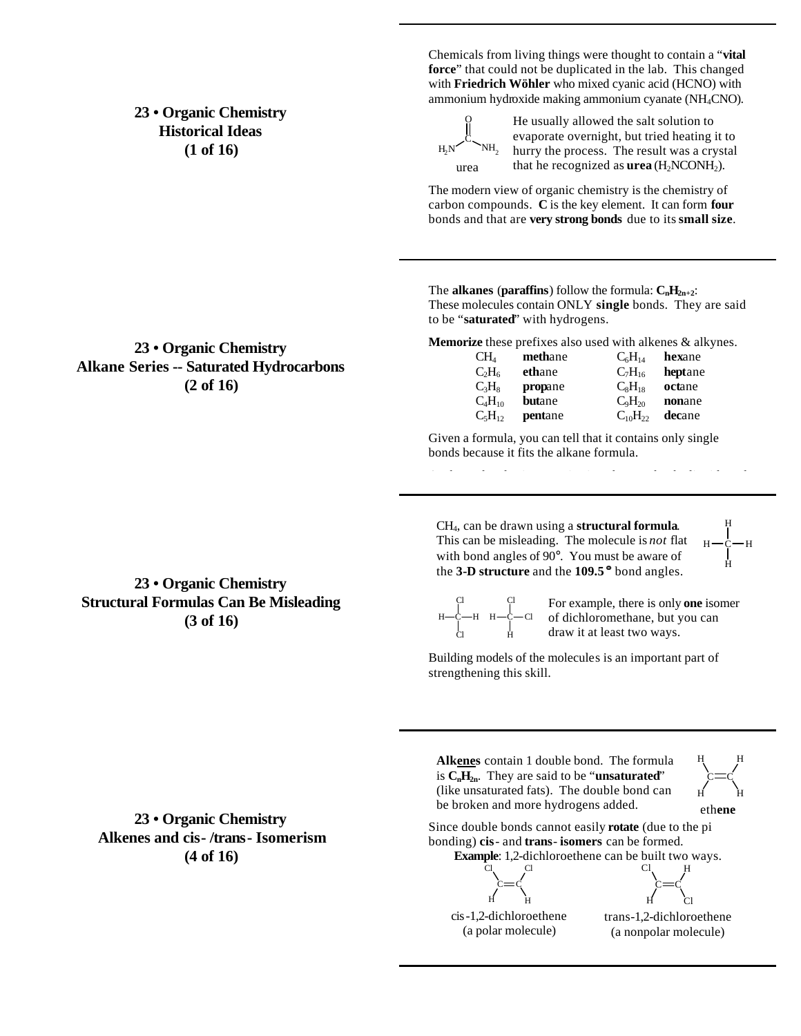## **23 • Organic Chemistry Historical Ideas (1 of 16)**

**23 • Organic Chemistry Alkane Series -- Saturated Hydrocarbons (2 of 16)**

Chemicals from living things were thought to contain a "**vital force**" that could not be duplicated in the lab. This changed with **Friedrich Wöhler** who mixed cyanic acid (HCNO) with ammonium hydroxide making ammonium cyanate (NH4CNO).

C O  $H_2N$  NH<sub>2</sub> urea

He usually allowed the salt solution to evaporate overnight, but tried heating it to hurry the process. The result was a crystal that he recognized as  $$ 

The modern view of organic chemistry is the chemistry of carbon compounds. **C** is the key element. It can form **four** bonds and that are **very strong bonds** due to its **small size**.

The **alkanes** (**paraffins**) follow the formula:  $C_nH_{2n+2}$ : These molecules contain ONLY **single** bonds. They are said to be "**saturated**" with hydrogens.

**Memorize** these prefixes also used with alkenes & alkynes.

| CH <sub>4</sub> | methane       | $C_6H_{14}$    | hexane  |
|-----------------|---------------|----------------|---------|
| $C_2H_6$        | ethane        | $C_7H_{16}$    | heptane |
| $C_3H_8$        | propane       | $C_8H_{18}$    | octane  |
| $C_4H_{10}$     | <b>butane</b> | $C_9H_{20}$    | nonane  |
| $C_5H_{12}$     | pentane       | $C_{10}H_{22}$ | decane  |

Given a formula, you can tell that it contains only single bonds because it fits the alkane formula.

CH4, can be drawn using a **structural formula**. This can be misleading. The molecule is *not* flat with bond angles of 90°. You must be aware of the **3-D structure** and the **109.5 °** bond angles.

C H H H H

C H

eth**ene**

C H H

H

#### C Cl н—с—н Cl C H н—с—сі

Cl For example, there is only **one** isomer of dichloromethane, but you can draw it at least two ways.

Building models of the molecules is an important part of strengthening this skill.

**23 • Organic Chemistry Alkenes and cis- /trans- Isomerism (4 of 16)**

Since double bonds cannot easily **rotate** (due to the pi bonding) **cis**- and **trans**- **isomers** can be formed. **Example**: 1,2-dichloroethene can be built two ways. C H C Cl Cl H

**Alkenes** contain 1 double bond. The formula is  $C_nH_{2n}$ . They are said to be "**unsaturated**" (like unsaturated fats). The double bond can be broken and more hydrogens added.

cis-1,2-dichloroethene (a polar molecule)

H Cl trans-1,2-dichloroethene (a nonpolar molecule)

C Cl H

C

**23 • Organic Chemistry Structural Formulas Can Be Misleading (3 of 16)**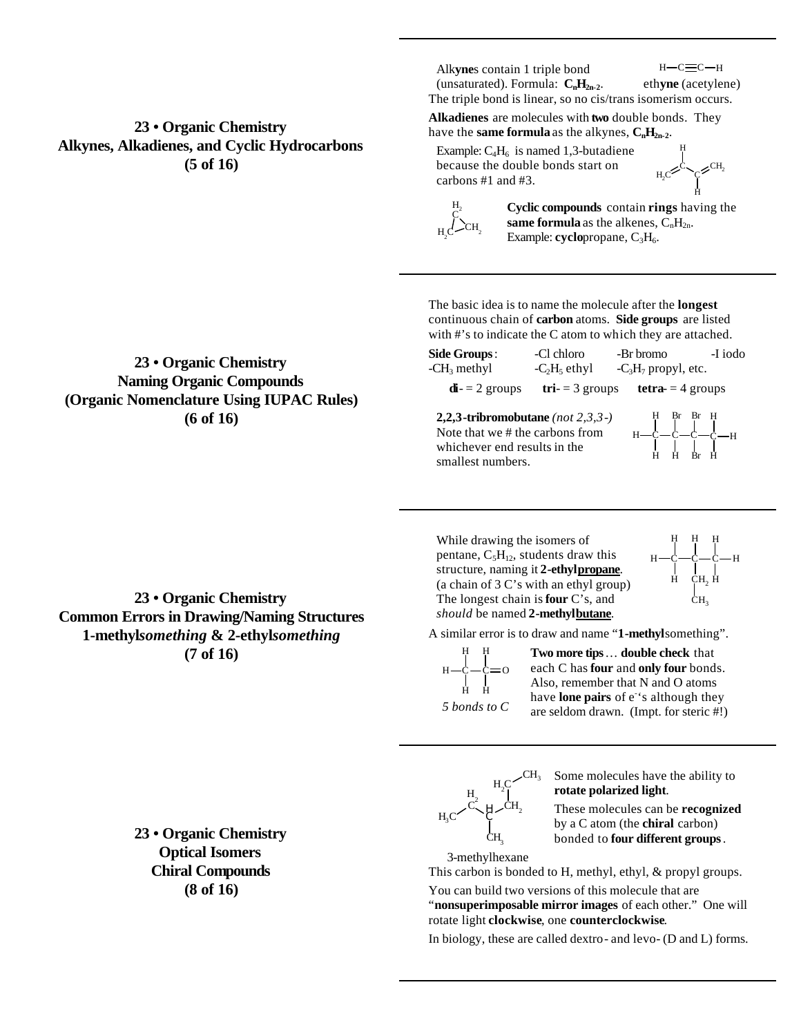## **23 • Organic Chemistry Alkynes, Alkadienes, and Cyclic Hydrocarbons (5 of 16)**

Alk**yne**s contain 1 triple bond (unsaturated). Formula:  $C_nH_{2n-2}$ .

 $H - C \equiv C - H$ eth**yne** (acetylene)

The triple bond is linear, so no cis/trans isomerism occurs.

**Alkadienes** are molecules with **two** double bonds. They have the **same formula** as the alkynes,  $C_nH_{2n-2}$ .

Example:  $C_4H_6$  is named 1,3-butadiene because the double bonds start on carbons #1 and #3.

 $H_2C^2$ CH<sub>2</sub> H H



**Cyclic compounds** contain **rings** having the **same formula** as the alkenes,  $C_nH_{2n}$ . Example: **cyclo**propane, C<sub>3</sub>H<sub>6</sub>.

The basic idea is to name the molecule after the **longest** continuous chain of **carbon** atoms. **Side groups** are listed with #'s to indicate the C atom to which they are attached.

| Side Groups:                                                                                            | -Cl chloro    | -Br bromo                          | -I iodo |
|---------------------------------------------------------------------------------------------------------|---------------|------------------------------------|---------|
| $-CH3$ methyl                                                                                           | $-C2H5$ ethyl | $-C_3H_7$ propyl, etc.             |         |
| $\mathbf{di} = 2$ groups                                                                                |               | $tri = 3$ groups tetra- = 4 groups |         |
| 2,2,3-tribromobutane (not $2,3,3$ -)<br>Note that we # the carbons from<br>whichever end results in the |               |                                    |         |
| smallest numbers.                                                                                       |               |                                    |         |

While drawing the isomers of pentane,  $C_5H_{12}$ , students draw this structure, naming it **2-ethylpropane**. (a chain of 3 C's with an ethyl group) The longest chain is **four** C's, and *should* be named **2-methylbutane**.



A similar error is to draw and name "**1-methyl**something".

 $H - C - C = 0$ H H H H *5 bonds to C*

**Two more tips**… **double check** that each C has **four** and **only four** bonds. Also, remember that N and O atoms have **lone pairs** of e<sup>-</sup>'s although they are seldom drawn. (Impt. for steric #!)

C ਮ੍ਰ $\mathcal{L}^{\mathbf{C}\mathbf{H}_2}$  $_{\rm H_2C}$  $CH<sub>3</sub>$ C  $\frac{H}{a^2}$ 

Some molecules have the ability to **rotate polarized light**.

These molecules can be **recognized** by a C atom (the **chiral** carbon) bonded to **four different groups**.

3-methylhexane

 $_{\rm H_3C}$ 

CH<sub>3</sub>

This carbon is bonded to H, methyl, ethyl, & propyl groups.

You can build two versions of this molecule that are "**nonsuperimposable mirror images** of each other." One will rotate light **clockwise**, one **counterclockwise**.

In biology, these are called dextro- and levo- (D and L) forms.

# **Naming Organic Compounds (Organic Nomenclature Using IUPAC Rules) (6 of 16)**

**23 • Organic Chemistry**

**23 • Organic Chemistry Common Errors in Drawing/Naming Structures 1-methyl***something* **& 2-ethyl***something* **(7 of 16)**

> **23 • Organic Chemistry Optical Isomers Chiral Compounds (8 of 16)**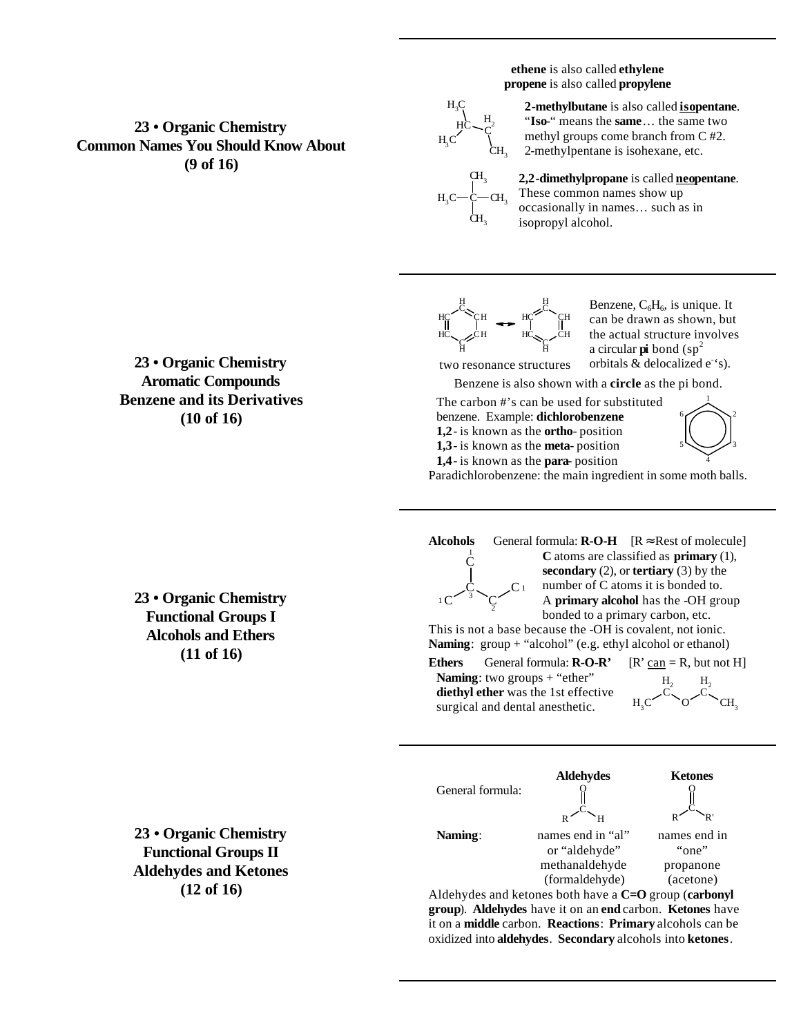**ethene** is also called **ethylene propene** is also called **propylene**

#### C  $H<sub>2</sub>$  $\rm CH_{_3}$ HC  $_{\rm H_3C}$

 $_{\rm H_3C}$ 

2-methylbutane is also called **isopentane**. "**Iso**-" means the **same**… the same two methyl groups come branch from C #2. 2-methylpentane is isohexane, etc.

**2,2-dimethylpropane** is called **neopentane**. These common names show up occasionally in names… such as in isopropyl alcohol.



 $CH<sub>3</sub>$ C  $\mathrm{CH}_3^{}$ 

 $CH<sub>3</sub>$ 

Benzene,  $C_6H_6$ , is unique. It can be drawn as shown, but the actual structure involves a circular **pi** bond  $(sp^2)$ orbitals  $&$  delocalized  $e^{\cdot s}$ .

two resonance structures Benzene is also shown with a **circle** as the pi bond.

The carbon #'s can be used for substituted benzene. Example: **dichlorobenzene 1,2**- is known as the **ortho**- position

**1,3**- is known as the **meta**- position **1,4**- is known as the **para**- position



Paradichlorobenzene: the main ingredient in some moth balls.

C  $3 \searrow$ 2

C

 $1\,C$ 

**Alcohols** General formula:  $\mathbf{R}\text{-}\mathbf{O}\text{-}\mathbf{H}$   $[\mathbf{R} \approx \text{Rest of molecule}]$ <sup>1</sup> **C** atoms are classified as **primary** (1), **secondary** (2), or **tertiary** (3) by the number of C atoms it is bonded to. A **primary alcohol** has the -OH group bonded to a primary carbon, etc.

This is not a base because the -OH is covalent, not ionic. **Naming**: group + "alcohol" (e.g. ethyl alcohol or ethanol)

**Ethers** General formula:  $\mathbf{R}\text{-}\mathbf{O}\text{-}\mathbf{R}'$   $[\mathbf{R}' \text{ can } = \mathbf{R}]$ , but not H] **Naming**: two groups + "ether" **diethyl ether** was the 1st effective surgical and dental anesthetic.

 $\mathsf{C}$  1

C  $H<sub>2</sub>$ O C  $H<sub>2</sub>$  $CH<sub>3</sub>$ 



Aldehydes and ketones both have a **C=O** group (**carbonyl group**). **Aldehydes** have it on an **end** carbon. **Ketones** have it on a **middle** carbon. **Reactions**: **Primary** alcohols can be oxidized into **aldehydes**. **Secondary** alcohols into **ketones**.

**23 • Organic Chemistry Aromatic Compounds Benzene and its Derivatives (10 of 16)**

**23 • Organic Chemistry Common Names You Should Know About (9 of 16)**

> **23 • Organic Chemistry Functional Groups I Alcohols and Ethers (11 of 16)**

**23 • Organic Chemistry Functional Groups II Aldehydes and Ketones (12 of 16)**